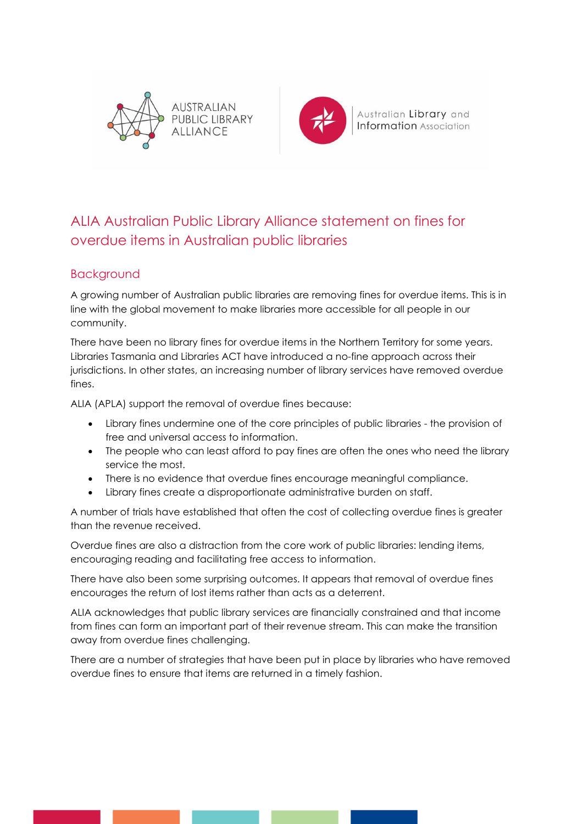



Australian Library and **Information** Association

## ALIA Australian Public Library Alliance statement on fines for overdue items in Australian public libraries

## **Backaround**

A growing number of Australian public libraries are removing fines for overdue items. This is in line with the global movement to make libraries more accessible for all people in our community.

There have been no library fines for overdue items in the Northern Territory for some years. Libraries Tasmania and Libraries ACT have introduced a no-fine approach across their jurisdictions. In other states, an increasing number of library services have removed overdue fines.

ALIA (APLA) support the removal of overdue fines because:

- Library fines undermine one of the core principles of public libraries the provision of free and universal access to information.
- The people who can least afford to pay fines are often the ones who need the library service the most.
- There is no evidence that overdue fines encourage meaningful compliance.
- Library fines create a disproportionate administrative burden on staff.

A number of trials have established that often the cost of collecting overdue fines is greater than the revenue received.

Overdue fines are also a distraction from the core work of public libraries: lending items, encouraging reading and facilitating free access to information.

There have also been some surprising outcomes. It appears that removal of overdue fines encourages the return of lost items rather than acts as a deterrent.

ALIA acknowledges that public library services are financially constrained and that income from fines can form an important part of their revenue stream. This can make the transition away from overdue fines challenging.

There are a number of strategies that have been put in place by libraries who have removed overdue fines to ensure that items are returned in a timely fashion.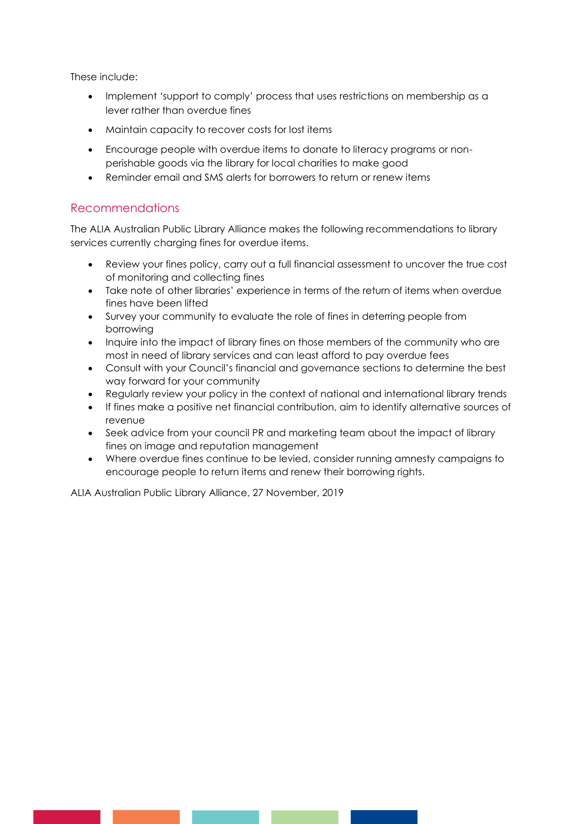These include:

- Implement 'support to comply' process that uses restrictions on membership as a lever rather than overdue fines
- Maintain capacity to recover costs for lost items
- Encourage people with overdue items to donate to literacy programs or nonperishable goods via the library for local charities to make good
- Reminder email and SMS alerts for borrowers to return or renew items

## Recommendations

The ALIA Australian Public Library Alliance makes the following recommendations to library services currently charging fines for overdue items.

- Review your fines policy, carry out a full financial assessment to uncover the true cost of monitoring and collecting fines
- Take note of other libraries' experience in terms of the return of items when overdue fines have been lifted
- Survey your community to evaluate the role of fines in deterring people from borrowing
- Inquire into the impact of library fines on those members of the community who are most in need of library services and can least afford to pay overdue fees
- Consult with your Council's financial and governance sections to determine the best way forward for your community
- Regularly review your policy in the context of national and international library trends
- If fines make a positive net financial contribution, aim to identify alternative sources of revenue
- Seek advice from your council PR and marketing team about the impact of library fines on image and reputation management
- Where overdue fines continue to be levied, consider running amnesty campaigns to encourage people to return items and renew their borrowing rights.

ALIA Australian Public Library Alliance, 27 November, 2019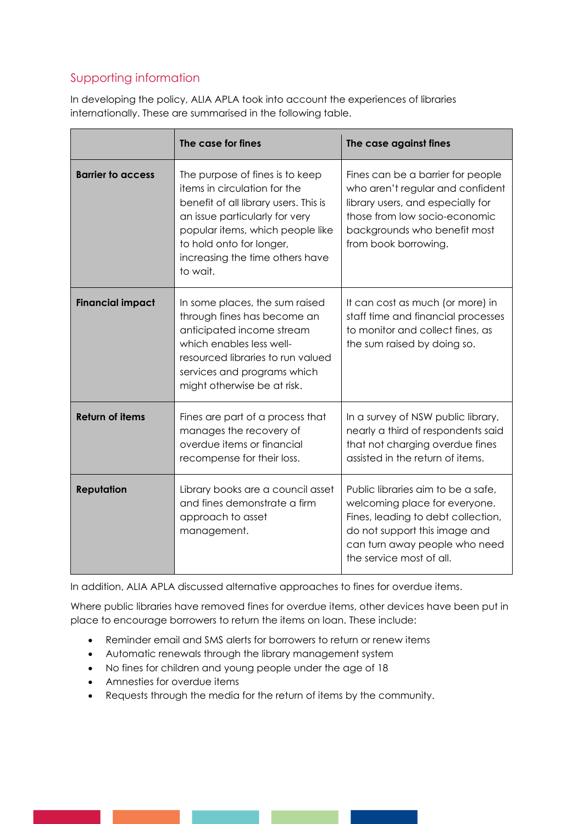## Supporting information

In developing the policy, ALIA APLA took into account the experiences of libraries internationally. These are summarised in the following table.

|                          | The case for fines                                                                                                                                                                                                                                        | The case against fines                                                                                                                                                                                  |
|--------------------------|-----------------------------------------------------------------------------------------------------------------------------------------------------------------------------------------------------------------------------------------------------------|---------------------------------------------------------------------------------------------------------------------------------------------------------------------------------------------------------|
| <b>Barrier to access</b> | The purpose of fines is to keep<br>items in circulation for the<br>benefit of all library users. This is<br>an issue particularly for very<br>popular items, which people like<br>to hold onto for longer,<br>increasing the time others have<br>to wait. | Fines can be a barrier for people<br>who aren't regular and confident<br>library users, and especially for<br>those from low socio-economic<br>backgrounds who benefit most<br>from book borrowing.     |
| <b>Financial impact</b>  | In some places, the sum raised<br>through fines has become an<br>anticipated income stream<br>which enables less well-<br>resourced libraries to run valued<br>services and programs which<br>might otherwise be at risk.                                 | It can cost as much (or more) in<br>staff time and financial processes<br>to monitor and collect fines, as<br>the sum raised by doing so.                                                               |
| <b>Return of items</b>   | Fines are part of a process that<br>manages the recovery of<br>overdue items or financial<br>recompense for their loss.                                                                                                                                   | In a survey of NSW public library,<br>nearly a third of respondents said<br>that not charging overdue fines<br>assisted in the return of items.                                                         |
| <b>Reputation</b>        | Library books are a council asset<br>and fines demonstrate a firm<br>approach to asset<br>management.                                                                                                                                                     | Public libraries aim to be a safe,<br>welcoming place for everyone.<br>Fines, leading to debt collection,<br>do not support this image and<br>can turn away people who need<br>the service most of all. |

In addition, ALIA APLA discussed alternative approaches to fines for overdue items.

Where public libraries have removed fines for overdue items, other devices have been put in place to encourage borrowers to return the items on loan. These include:

- Reminder email and SMS alerts for borrowers to return or renew items
- Automatic renewals through the library management system
- No fines for children and young people under the age of 18
- Amnesties for overdue items
- Requests through the media for the return of items by the community.